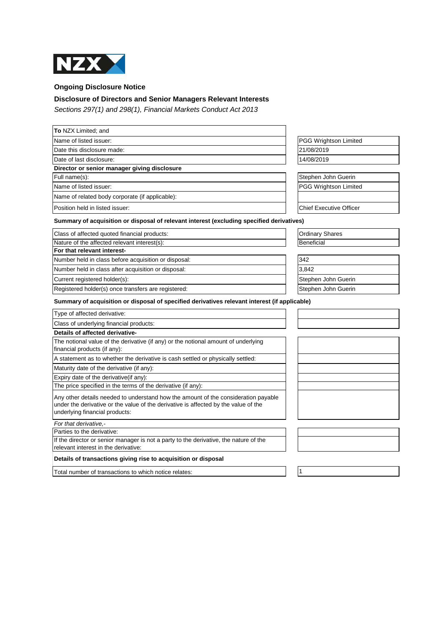

**Ongoing Disclosure Notice**

## **Disclosure of Directors and Senior Managers Relevant Interests**

Sections 297(1) and 298(1), Financial Markets Conduct Act 2013

| To NZX Limited; and                                                                                                                                                                                         |                                |
|-------------------------------------------------------------------------------------------------------------------------------------------------------------------------------------------------------------|--------------------------------|
| Name of listed issuer:                                                                                                                                                                                      | PGG Wrightson Limited          |
| Date this disclosure made:                                                                                                                                                                                  | 21/08/2019                     |
| Date of last disclosure:                                                                                                                                                                                    | 14/08/2019                     |
| Director or senior manager giving disclosure                                                                                                                                                                |                                |
| Full name(s):                                                                                                                                                                                               | Stephen John Guerin            |
| Name of listed issuer:                                                                                                                                                                                      | PGG Wrightson Limited          |
| Name of related body corporate (if applicable):                                                                                                                                                             |                                |
| Position held in listed issuer:                                                                                                                                                                             | <b>Chief Executive Officer</b> |
| Summary of acquisition or disposal of relevant interest (excluding specified derivatives)                                                                                                                   |                                |
| Class of affected quoted financial products:                                                                                                                                                                | <b>Ordinary Shares</b>         |
| Nature of the affected relevant interest(s):                                                                                                                                                                | Beneficial                     |
| For that relevant interest-                                                                                                                                                                                 |                                |
| Number held in class before acquisition or disposal:                                                                                                                                                        | 342                            |
| Number held in class after acquisition or disposal:                                                                                                                                                         | 3,842                          |
| Current registered holder(s):                                                                                                                                                                               | Stephen John Guerin            |
| Registered holder(s) once transfers are registered:                                                                                                                                                         | Stephen John Guerin            |
| Summary of acquisition or disposal of specified derivatives relevant interest (if applicable)                                                                                                               |                                |
| Type of affected derivative:                                                                                                                                                                                |                                |
| Class of underlying financial products:                                                                                                                                                                     |                                |
| Details of affected derivative-                                                                                                                                                                             |                                |
| The notional value of the derivative (if any) or the notional amount of underlying<br>financial products (if any):                                                                                          |                                |
| A statement as to whether the derivative is cash settled or physically settled:                                                                                                                             |                                |
| Maturity date of the derivative (if any):                                                                                                                                                                   |                                |
| Expiry date of the derivative(if any):                                                                                                                                                                      |                                |
| The price specified in the terms of the derivative (if any):                                                                                                                                                |                                |
| Any other details needed to understand how the amount of the consideration payable<br>under the derivative or the value of the derivative is affected by the value of the<br>underlying financial products: |                                |
| For that derivative.-                                                                                                                                                                                       |                                |
| Parties to the derivative:                                                                                                                                                                                  |                                |
| If the director or senior manager is not a party to the derivative, the nature of the<br>relevant interest in the derivative:                                                                               |                                |
| Details of transactions giving rise to acquisition or disposal                                                                                                                                              |                                |
| Total number of transactions to which notice relates:                                                                                                                                                       | $\overline{1}$                 |